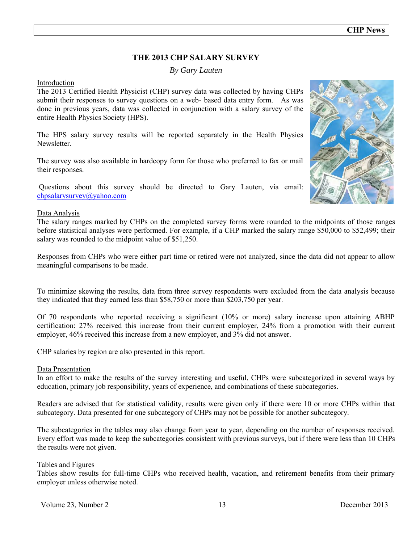# **THE 2013 CHP SALARY SURVEY**

## *By Gary Lauten*

## Introduction

The 2013 Certified Health Physicist (CHP) survey data was collected by having CHPs submit their responses to survey questions on a web- based data entry form. As was done in previous years, data was collected in conjunction with a salary survey of the entire Health Physics Society (HPS).

The HPS salary survey results will be reported separately in the Health Physics **Newsletter** 

The survey was also available in hardcopy form for those who preferred to fax or mail their responses.

Questions about this survey should be directed to Gary Lauten, via email: [chpsalarysurvey@yahoo.com](mailto:glauten@hotmail.com) 

## Data Analysis

The salary ranges marked by CHPs on the completed survey forms were rounded to the midpoints of those ranges before statistical analyses were performed. For example, if a CHP marked the salary range \$50,000 to \$52,499; their salary was rounded to the midpoint value of \$51,250.

Responses from CHPs who were either part time or retired were not analyzed, since the data did not appear to allow meaningful comparisons to be made.

To minimize skewing the results, data from three survey respondents were excluded from the data analysis because they indicated that they earned less than \$58,750 or more than \$203,750 per year.

Of 70 respondents who reported receiving a significant (10% or more) salary increase upon attaining ABHP certification: 27% received this increase from their current employer, 24% from a promotion with their current employer, 46% received this increase from a new employer, and 3% did not answer.

CHP salaries by region are also presented in this report.

## Data Presentation

In an effort to make the results of the survey interesting and useful, CHPs were subcategorized in several ways by education, primary job responsibility, years of experience, and combinations of these subcategories.

Readers are advised that for statistical validity, results were given only if there were 10 or more CHPs within that subcategory. Data presented for one subcategory of CHPs may not be possible for another subcategory.

The subcategories in the tables may also change from year to year, depending on the number of responses received. Every effort was made to keep the subcategories consistent with previous surveys, but if there were less than 10 CHPs the results were not given.

## Tables and Figures

Tables show results for full-time CHPs who received health, vacation, and retirement benefits from their primary employer unless otherwise noted.

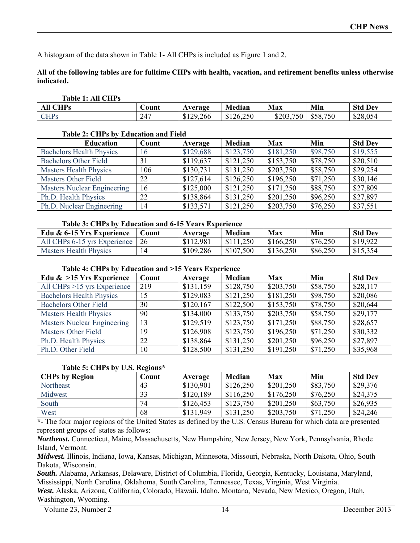A histogram of the data shown in Table 1- All CHPs is included as Figure 1 and 2.

#### **All of the following tables are for fulltime CHPs with health, vacation, and retirement benefits unless otherwise indicated.**

#### **Table 1: All CHPs**

| $^{\circ}$ HPe<br>$\Delta$ ll<br>A. | <b>Dunt</b> | Average                      | Median                                               | <b>Max</b>                      | Min          | Dev<br><b>Std</b> |
|-------------------------------------|-------------|------------------------------|------------------------------------------------------|---------------------------------|--------------|-------------------|
| <b>CHPs</b>                         | 247<br>47 I | .266<br>00<br>$\overline{1}$ | $\sim$ $\sim$ $\sim$<br>ו ה'<br>n<br>دا،<br>9140.400 | $- - -$<br>0.002<br>7U.<br>د 13 | .750<br>\$58 | \$28,054          |

#### **Table 2: CHPs by Education and Field**

| <b>Education</b>                   | Count | Average   | Median    | Max       | Min      | <b>Std Dev</b> |
|------------------------------------|-------|-----------|-----------|-----------|----------|----------------|
| <b>Bachelors Health Physics</b>    | 16    | \$129,688 | \$123,750 | \$181,250 | \$98,750 | \$19,555       |
| <b>Bachelors Other Field</b>       | 31    | \$119,637 | \$121,250 | \$153,750 | \$78,750 | \$20,510       |
| <b>Masters Health Physics</b>      | 106   | \$130,731 | \$131,250 | \$203,750 | \$58,750 | \$29,254       |
| <b>Masters Other Field</b>         | 22    | \$127,614 | \$126,250 | \$196,250 | \$71,250 | \$30,146       |
| <b>Masters Nuclear Engineering</b> | 16    | \$125,000 | \$121,250 | \$171,250 | \$88,750 | \$27,809       |
| Ph.D. Health Physics               | 22    | \$138,864 | \$131,250 | \$201,250 | \$96,250 | \$27,897       |
| Ph.D. Nuclear Engineering          | 14    | \$133,571 | \$121,250 | \$203,750 | \$76,250 | \$37,551       |

#### **Table 3: CHPs by Education and 6-15 Years Experience**

| Edu & 6-15 Yrs Experience     | 'ount | Average   | Median    | Max       | Min      | <b>Std Dev</b> |
|-------------------------------|-------|-----------|-----------|-----------|----------|----------------|
| All CHPs 6-15 yrs Experience  | 26    | \$112,981 | \$111,250 | \$166,250 | \$76,250 | \$19,922       |
| <b>Masters Health Physics</b> | 14    | \$109,286 | \$107,500 | \$136,250 | \$86,250 | \$15,354       |

#### **Table 4: CHPs by Education and >15 Years Experience**

| Edu $\&$ >15 Yrs Experience        | Count | Average   | Median    | <b>Max</b> | Min      | <b>Std Dev</b> |
|------------------------------------|-------|-----------|-----------|------------|----------|----------------|
| All CHPs $>15$ yrs Experience      | 219   | \$131,159 | \$128,750 | \$203,750  | \$58,750 | \$28,117       |
| <b>Bachelors Health Physics</b>    | 15    | \$129,083 | \$121,250 | \$181,250  | \$98,750 | \$20,086       |
| <b>Bachelors Other Field</b>       | 30    | \$120,167 | \$122,500 | \$153,750  | \$78,750 | \$20,644       |
| <b>Masters Health Physics</b>      | 90    | \$134,000 | \$133,750 | \$203,750  | \$58,750 | \$29,177       |
| <b>Masters Nuclear Engineering</b> | 13    | \$129,519 | \$123,750 | \$171,250  | \$88,750 | \$28,657       |
| <b>Masters Other Field</b>         | 19    | \$126,908 | \$123,750 | \$196,250  | \$71,250 | \$30,332       |
| Ph.D. Health Physics               | 22    | \$138,864 | \$131,250 | \$201,250  | \$96,250 | \$27,897       |
| Ph.D. Other Field                  | 10    | \$128,500 | \$131,250 | \$191,250  | \$71,250 | \$35,968       |

#### **Table 5: CHPs by U.S. Regions\***

| <b>CHPs by Region</b> | Count | Average   | Median    | Max       | Min      | <b>Std Dev</b> |
|-----------------------|-------|-----------|-----------|-----------|----------|----------------|
| <b>Northeast</b>      | 43    | \$130,901 | \$126,250 | \$201,250 | \$83,750 | \$29,376       |
| Midwest               | 33    | \$120,189 | \$116,250 | \$176,250 | \$76,250 | \$24,375       |
| South                 | 74    | \$126,453 | \$123,750 | \$201,250 | \$63,750 | \$26,935       |
| West                  | 68    | \$131,949 | \$131,250 | \$203,750 | \$71,250 | \$24,246       |

**\*-** The four major regions of the United States as defined by the U.S. Census Bureau for which data are presented represent groups of states as follows:

*Northeast.* Connecticut, Maine, Massachusetts, New Hampshire, New Jersey, New York, Pennsylvania, Rhode Island, Vermont.

*Midwest.* Illinois, Indiana, Iowa, Kansas, Michigan, Minnesota, Missouri, Nebraska, North Dakota, Ohio, South Dakota, Wisconsin.

*South.* Alabama, Arkansas, Delaware, District of Columbia, Florida, Georgia, Kentucky, Louisiana, Maryland, Mississippi, North Carolina, Oklahoma, South Carolina, Tennessee, Texas, Virginia, West Virginia. *West.* Alaska, Arizona, California, Colorado, Hawaii, Idaho, Montana, Nevada, New Mexico, Oregon, Utah, Washington, Wyoming.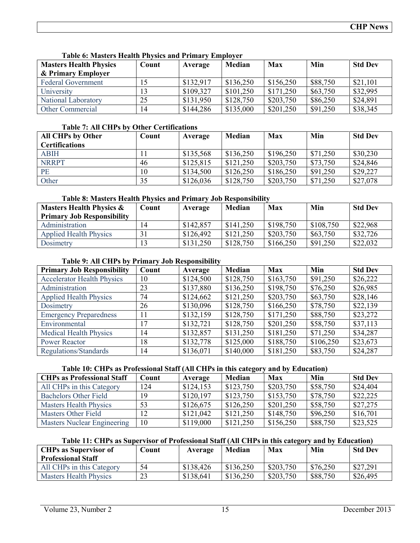| <b>Masters Health Physics</b> | Count | Average   | Median    | Max       | Min      | <b>Std Dev</b> |
|-------------------------------|-------|-----------|-----------|-----------|----------|----------------|
| & Primary Employer            |       |           |           |           |          |                |
| <b>Federal Government</b>     | 15    | \$132,917 | \$136,250 | \$156,250 | \$88,750 | \$21,101       |
| University                    | 13    | \$109,327 | \$101,250 | \$171,250 | \$63,750 | \$32,995       |
| National Laboratory           | 25    | \$131,950 | \$128,750 | \$203,750 | \$86,250 | \$24,891       |
| <b>Other Commercial</b>       | 14    | \$144,286 | \$135,000 | \$201,250 | \$91,250 | \$38,345       |

#### **Table 6: Masters Health Physics and Primary Employer**

#### **Table 7: All CHPs by Other Certifications**

| <b>All CHPs by Other</b> | Count | Average   | Median    | Max       | Min      | <b>Std Dev</b> |
|--------------------------|-------|-----------|-----------|-----------|----------|----------------|
| <b>Certifications</b>    |       |           |           |           |          |                |
| <b>ABIH</b>              |       | \$135,568 | \$136,250 | \$196,250 | \$71,250 | \$30,230       |
| <b>NRRPT</b>             | 46    | \$125,815 | \$121,250 | \$203,750 | \$73,750 | \$24,846       |
| PE                       | 10    | \$134,500 | \$126,250 | \$186,250 | \$91,250 | \$29,227       |
| Other                    | 35    | \$126,036 | \$128,750 | \$203,750 | \$71,250 | \$27,078       |

## **Table 8: Masters Health Physics and Primary Job Responsibility**

| <b>Masters Health Physics &amp;</b> | Count | Average   | Median    | Max       | Min       | <b>Std Dev</b> |
|-------------------------------------|-------|-----------|-----------|-----------|-----------|----------------|
| <b>Primary Job Responsibility</b>   |       |           |           |           |           |                |
| Administration                      | 14    | \$142,857 | \$141,250 | \$198.750 | \$108,750 | \$22,968       |
| <b>Applied Health Physics</b>       |       | \$126,492 | \$121,250 | \$203,750 | \$63,750  | \$32,726       |
| Dosimetry                           | 13    | \$131,250 | \$128,750 | \$166,250 | \$91,250  | \$22,032       |

## **Table 9: All CHPs by Primary Job Responsibility**

| <b>Primary Job Responsibility</b> | Count | Average   | Median    | <b>Max</b> | Min       | <b>Std Dev</b> |
|-----------------------------------|-------|-----------|-----------|------------|-----------|----------------|
| <b>Accelerator Health Physics</b> | 10    | \$124,500 | \$128,750 | \$163,750  | \$91,250  | \$26,222       |
| Administration                    | 23    | \$137,880 | \$136,250 | \$198,750  | \$76,250  | \$26,985       |
| <b>Applied Health Physics</b>     | 74    | \$124,662 | \$121,250 | \$203,750  | \$63,750  | \$28,146       |
| Dosimetry                         | 26    | \$130,096 | \$128,750 | \$166,250  | \$78,750  | \$22,139       |
| <b>Emergency Preparedness</b>     | 11    | \$132,159 | \$128,750 | \$171,250  | \$88,750  | \$23,272       |
| Environmental                     | 17    | \$132,721 | \$128,750 | \$201,250  | \$58,750  | \$37,113       |
| <b>Medical Health Physics</b>     | 14    | \$132,857 | \$131,250 | \$181,250  | \$71,250  | \$34,287       |
| <b>Power Reactor</b>              | 18    | \$132,778 | \$125,000 | \$188,750  | \$106,250 | \$23,673       |
| Regulations/Standards             | 14    | \$136,071 | \$140,000 | \$181,250  | \$83,750  | \$24,287       |

## **Table 10: CHPs as Professional Staff (All CHPs in this category and by Education)**

| <b>CHPs as Professional Staff</b>  | Count | Average   | Median    | <b>Max</b> | Min      | <b>Std Dev</b> |
|------------------------------------|-------|-----------|-----------|------------|----------|----------------|
| All CHPs in this Category          | 124   | \$124,153 | \$123,750 | \$203,750  | \$58,750 | \$24,404       |
| <b>Bachelors Other Field</b>       | 19    | \$120.197 | \$123,750 | \$153,750  | \$78,750 | \$22,225       |
| <b>Masters Health Physics</b>      | 53    | \$126,675 | \$126,250 | \$201,250  | \$58,750 | \$27,275       |
| <b>Masters Other Field</b>         | 12    | \$121,042 | \$121,250 | \$148,750  | \$96,250 | \$16,701       |
| <b>Masters Nuclear Engineering</b> | 10    | \$119,000 | \$121,250 | \$156,250  | \$88,750 | \$23,525       |

## **Table 11: CHPs as Supervisor of Professional Staff (All CHPs in this category and by Education)**

| <b>CHPs as Supervisor of</b>  | $C$ ount | Average   | Median    | Max       | Min      | <b>Std Dev</b> |
|-------------------------------|----------|-----------|-----------|-----------|----------|----------------|
| <b>Professional Staff</b>     |          |           |           |           |          |                |
| All CHPs in this Category     | 54       | \$138,426 | \$136,250 | \$203,750 | \$76,250 | \$27,291       |
| <b>Masters Health Physics</b> | 23       | \$138,641 | \$136,250 | \$203,750 | \$88,750 | \$26,495       |